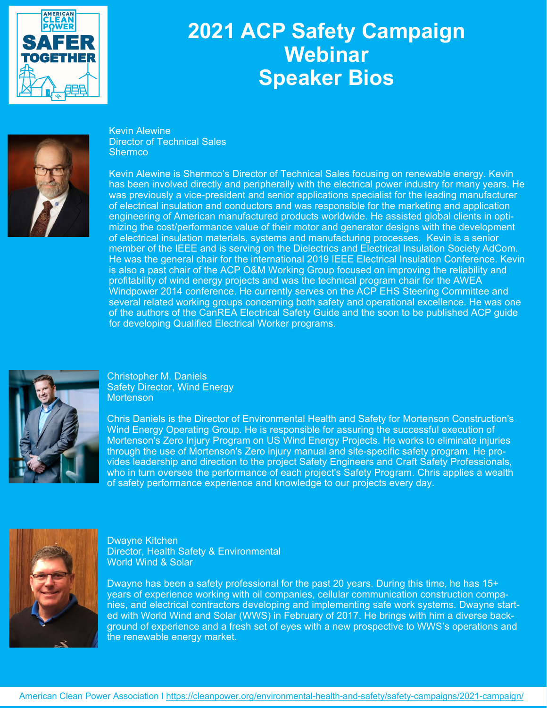

## **2021 ACP Safety Campaign Webinar Speaker Bios**



Kevin Alewine Director of Technical Sales **Shermco** 

Kevin Alewine is Shermco's Director of Technical Sales focusing on renewable energy. Kevin has been involved directly and peripherally with the electrical power industry for many years. He was previously a vice-president and senior applications specialist for the leading manufacturer of electrical insulation and conductors and was responsible for the marketing and application engineering of American manufactured products worldwide. He assisted global clients in optimizing the cost/performance value of their motor and generator designs with the development of electrical insulation materials, systems and manufacturing processes. Kevin is a senior member of the IEEE and is serving on the Dielectrics and Electrical Insulation Society AdCom. He was the general chair for the international 2019 IEEE Electrical Insulation Conference. Kevin is also a past chair of the ACP O&M Working Group focused on improving the reliability and profitability of wind energy projects and was the technical program chair for the AWEA Windpower 2014 conference. He currently serves on the ACP EHS Steering Committee and several related working groups concerning both safety and operational excellence. He was one of the authors of the CanREA Electrical Safety Guide and the soon to be published ACP guide for developing Qualified Electrical Worker programs.



Christopher M. Daniels Safety Director, Wind Energy **Mortenson** 

Chris Daniels is the Director of Environmental Health and Safety for Mortenson Construction's Wind Energy Operating Group. He is responsible for assuring the successful execution of Mortenson's Zero Injury Program on US Wind Energy Projects. He works to eliminate injuries through the use of Mortenson's Zero injury manual and site-specific safety program. He provides leadership and direction to the project Safety Engineers and Craft Safety Professionals, who in turn oversee the performance of each project's Safety Program. Chris applies a wealth of safety performance experience and knowledge to our projects every day.



Dwayne Kitchen Director, Health Safety & Environmental World Wind & Solar

Dwayne has been a safety professional for the past 20 years. During this time, he has 15+ years of experience working with oil companies, cellular communication construction companies, and electrical contractors developing and implementing safe work systems. Dwayne started with World Wind and Solar (WWS) in February of 2017. He brings with him a diverse background of experience and a fresh set of eyes with a new prospective to WWS's operations and the renewable energy market.